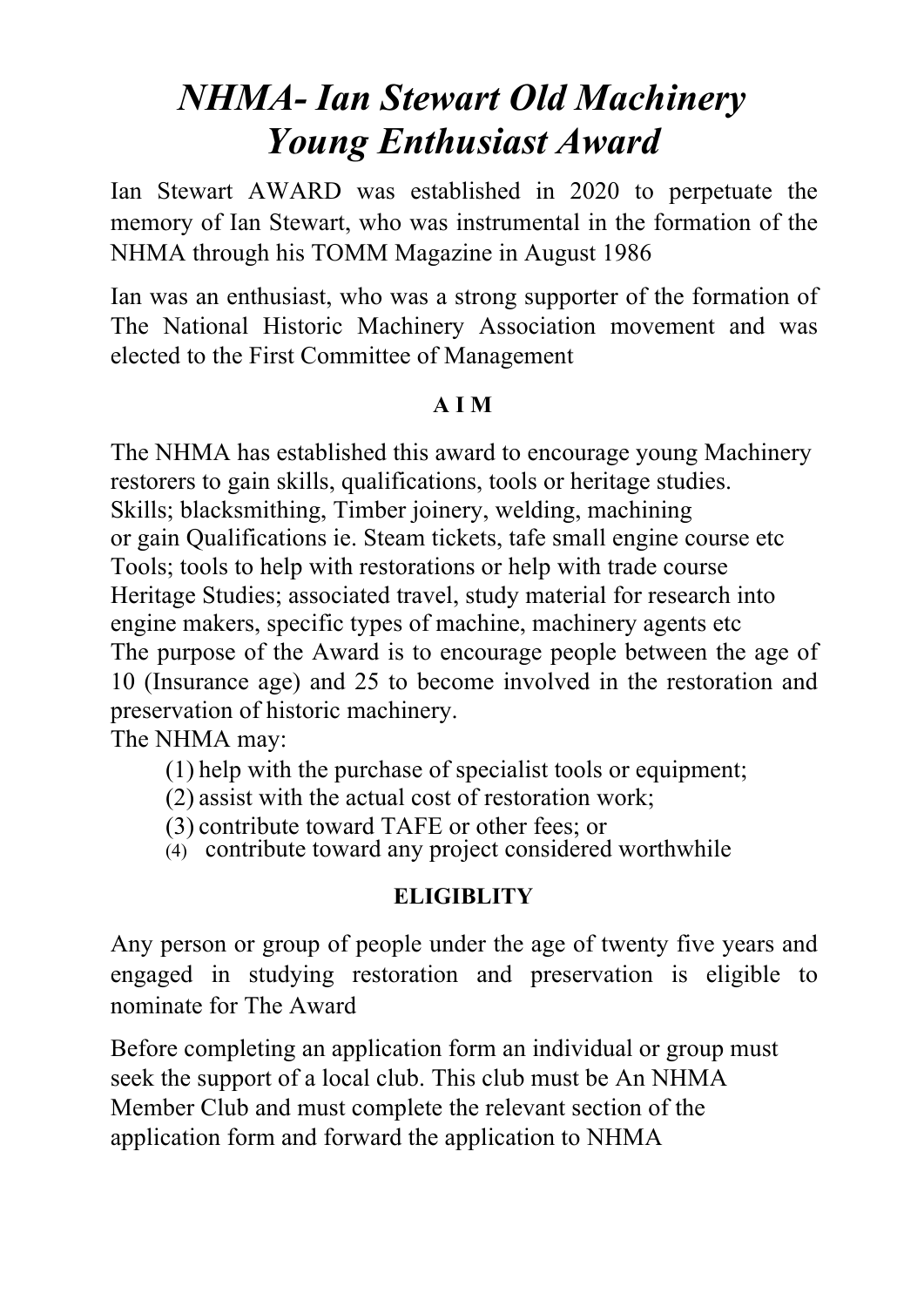## *NHMA- Ian Stewart Old Machinery Young Enthusiast Award*

Ian Stewart AWARD was established in 2020 to perpetuate the memory of Ian Stewart, who was instrumental in the formation of the NHMA through his TOMM Magazine in August 1986

Ian was an enthusiast, who was a strong supporter of the formation of The National Historic Machinery Association movement and was elected to the First Committee of Management

### **A I M**

The NHMA has established this award to encourage young Machinery restorers to gain skills, qualifications, tools or heritage studies. Skills; blacksmithing, Timber joinery, welding, machining or gain Qualifications ie. Steam tickets, tafe small engine course etc Tools; tools to help with restorations or help with trade course Heritage Studies; associated travel, study material for research into engine makers, specific types of machine, machinery agents etc The purpose of the Award is to encourage people between the age of 10 (Insurance age) and 25 to become involved in the restoration and preservation of historic machinery.

The NHMA may:

(1) help with the purchase of specialist tools or equipment;

- (2) assist with the actual cost of restoration work;
- (3) contribute toward TAFE or other fees; or
- $\alpha$  contribute toward any project considered worthwhile

## **ELIGIBLITY**

Any person or group of people under the age of twenty five years and engaged in studying restoration and preservation is eligible to nominate for The Award

Before completing an application form an individual or group must seek the support of a local club. This club must be An NHMA Member Club and must complete the relevant section of the application form and forward the application to NHMA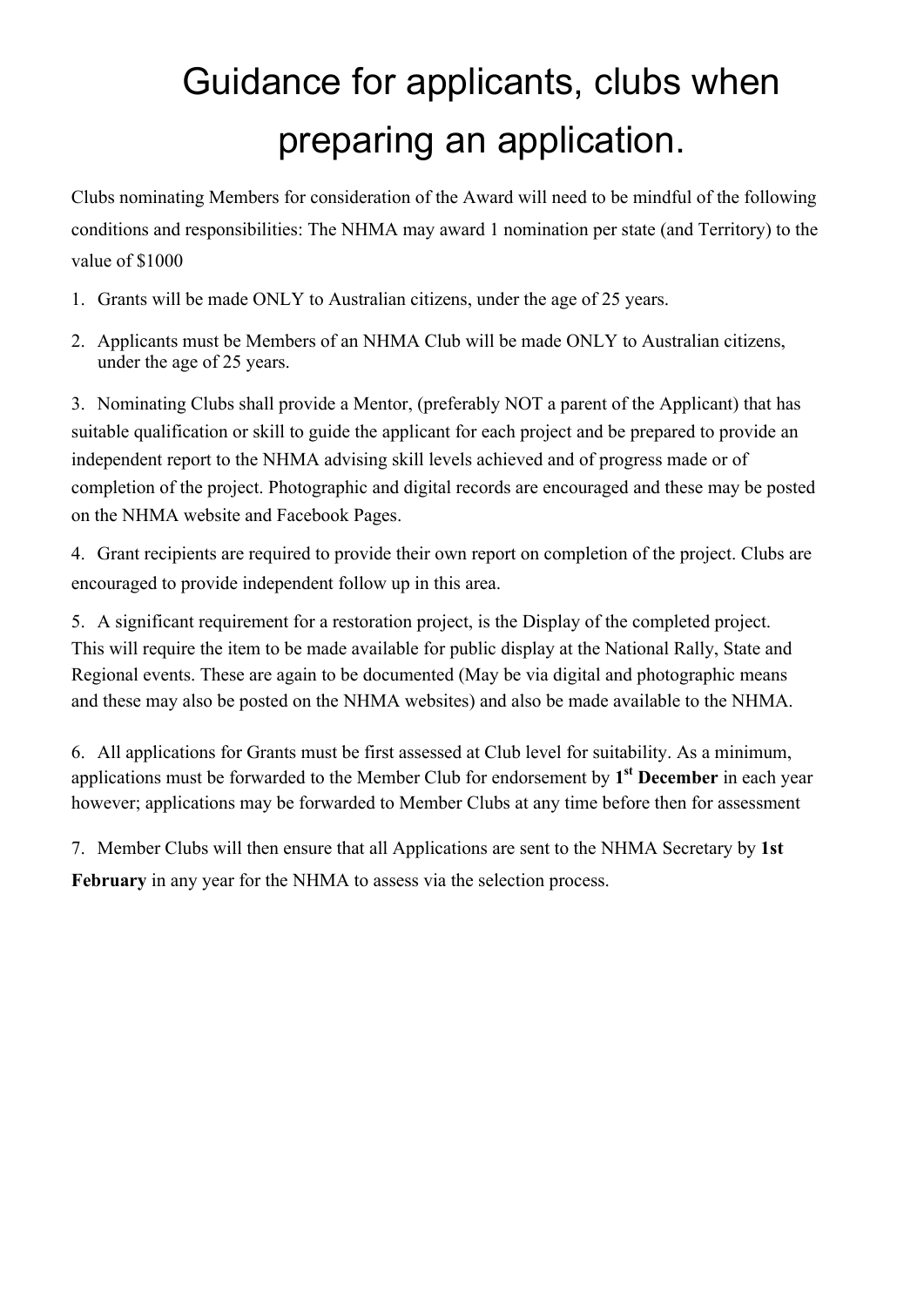# Guidance for applicants, clubs when preparing an application.

Clubs nominating Members for consideration of the Award will need to be mindful of the following conditions and responsibilities: The NHMA may award 1 nomination per state (and Territory) to the value of \$1000

- 1. Grants will be made ONLY to Australian citizens, under the age of 25 years.
- 2. Applicants must be Members of an NHMA Club will be made ONLY to Australian citizens, under the age of 25 years.

3. Nominating Clubs shall provide a Mentor, (preferably NOT a parent of the Applicant) that has suitable qualification or skill to guide the applicant for each project and be prepared to provide an independent report to the NHMA advising skill levels achieved and of progress made or of completion of the project. Photographic and digital records are encouraged and these may be posted on the NHMA website and Facebook Pages.

4. Grant recipients are required to provide their own report on completion of the project. Clubs are encouraged to provide independent follow up in this area.

5. A significant requirement for a restoration project, is the Display of the completed project. This will require the item to be made available for public display at the National Rally, State and Regional events. These are again to be documented (May be via digital and photographic means and these may also be posted on the NHMA websites) and also be made available to the NHMA.

6. All applications for Grants must be first assessed at Club level for suitability. As a minimum, applications must be forwarded to the Member Club for endorsement by **1st December** in each year however; applications may be forwarded to Member Clubs at any time before then for assessment

7. Member Clubs will then ensure that all Applications are sent to the NHMA Secretary by **1st February** in any year for the NHMA to assess via the selection process.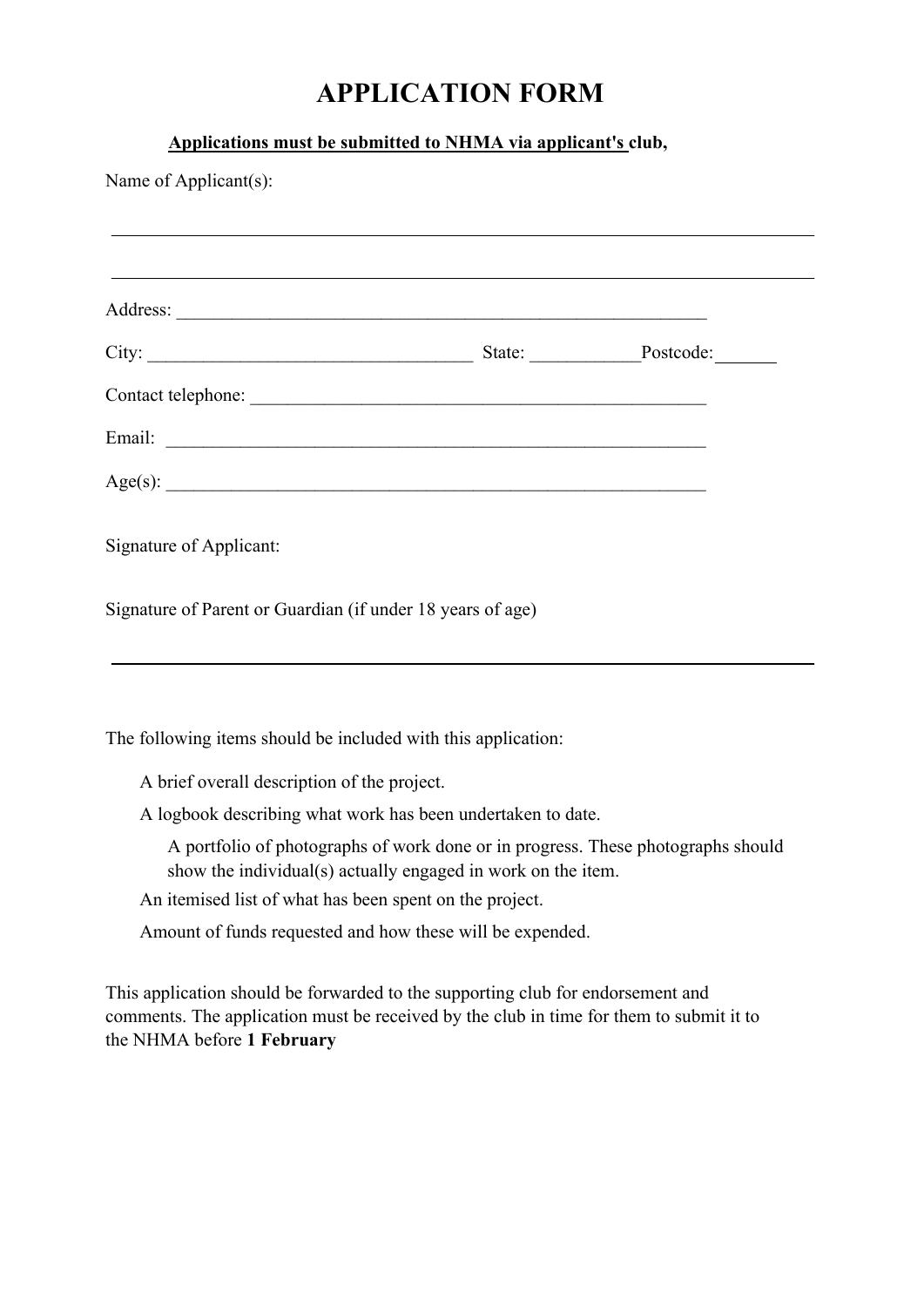## **APPLICATION FORM**

### **Applications must be submitted to NHMA via applicant's club,**

| Name of Applicant(s):                                                                                                                            |  |  |  |
|--------------------------------------------------------------------------------------------------------------------------------------------------|--|--|--|
|                                                                                                                                                  |  |  |  |
|                                                                                                                                                  |  |  |  |
|                                                                                                                                                  |  |  |  |
|                                                                                                                                                  |  |  |  |
|                                                                                                                                                  |  |  |  |
| Age(s):                                                                                                                                          |  |  |  |
| Signature of Applicant:                                                                                                                          |  |  |  |
| Signature of Parent or Guardian (if under 18 years of age)                                                                                       |  |  |  |
| The following items should be included with this application:                                                                                    |  |  |  |
| A brief overall description of the project.                                                                                                      |  |  |  |
| A logbook describing what work has been undertaken to date.                                                                                      |  |  |  |
| A portfolio of photographs of work done or in progress. These photographs should<br>show the individual(s) actually engaged in work on the item. |  |  |  |
| An itemised list of what has been spent on the project.                                                                                          |  |  |  |
| Amount of funds requested and how these will be expended.                                                                                        |  |  |  |

This application should be forwarded to the supporting club for endorsement and comments. The application must be received by the club in time for them to submit it to the NHMA before **1 February**